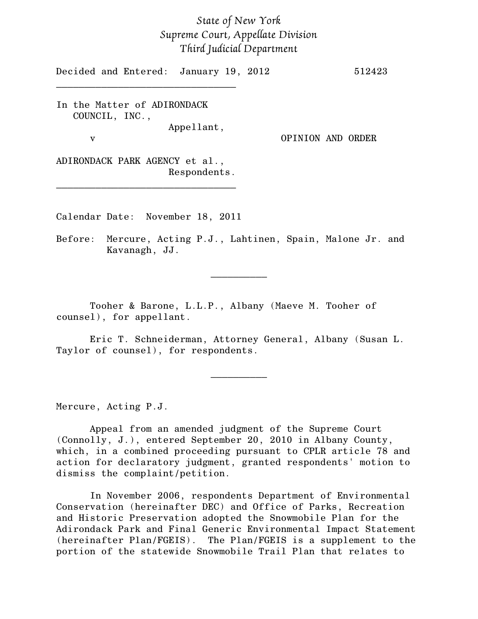## *State of New York Supreme Court, Appellate Division Third Judicial Department*

Decided and Entered: January 19, 2012 512423

In the Matter of ADIRONDACK COUNCIL, INC., Appellant,

\_\_\_\_\_\_\_\_\_\_\_\_\_\_\_\_\_\_\_\_\_\_\_\_\_\_\_\_\_\_\_\_

v OPINION AND ORDER

ADIRONDACK PARK AGENCY et al., Respondents.

\_\_\_\_\_\_\_\_\_\_\_\_\_\_\_\_\_\_\_\_\_\_\_\_\_\_\_\_\_\_\_\_

Calendar Date: November 18, 2011

Before: Mercure, Acting P.J., Lahtinen, Spain, Malone Jr. and Kavanagh, JJ.

 $\frac{1}{2}$ 

Tooher & Barone, L.L.P., Albany (Maeve M. Tooher of counsel), for appellant.

Eric T. Schneiderman, Attorney General, Albany (Susan L. Taylor of counsel), for respondents.

 $\frac{1}{2}$ 

Mercure, Acting P.J.

Appeal from an amended judgment of the Supreme Court (Connolly, J.), entered September 20, 2010 in Albany County, which, in a combined proceeding pursuant to CPLR article 78 and action for declaratory judgment, granted respondents' motion to dismiss the complaint/petition.

In November 2006, respondents Department of Environmental Conservation (hereinafter DEC) and Office of Parks, Recreation and Historic Preservation adopted the Snowmobile Plan for the Adirondack Park and Final Generic Environmental Impact Statement (hereinafter Plan/FGEIS). The Plan/FGEIS is a supplement to the portion of the statewide Snowmobile Trail Plan that relates to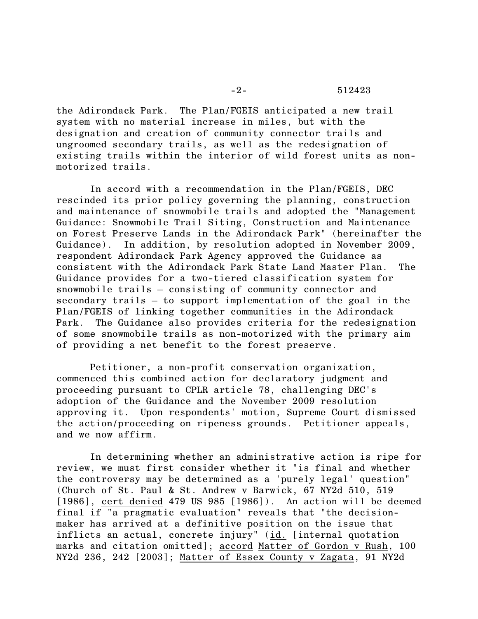the Adirondack Park. The Plan/FGEIS anticipated a new trail system with no material increase in miles, but with the designation and creation of community connector trails and ungroomed secondary trails, as well as the redesignation of existing trails within the interior of wild forest units as nonmotorized trails.

In accord with a recommendation in the Plan/FGEIS, DEC rescinded its prior policy governing the planning, construction and maintenance of snowmobile trails and adopted the "Management Guidance: Snowmobile Trail Siting, Construction and Maintenance on Forest Preserve Lands in the Adirondack Park" (hereinafter the Guidance). In addition, by resolution adopted in November 2009, respondent Adirondack Park Agency approved the Guidance as consistent with the Adirondack Park State Land Master Plan. The Guidance provides for a two-tiered classification system for snowmobile trails – consisting of community connector and secondary trails – to support implementation of the goal in the Plan/FGEIS of linking together communities in the Adirondack Park. The Guidance also provides criteria for the redesignation of some snowmobile trails as non-motorized with the primary aim of providing a net benefit to the forest preserve.

Petitioner, a non-profit conservation organization, commenced this combined action for declaratory judgment and proceeding pursuant to CPLR article 78, challenging DEC's adoption of the Guidance and the November 2009 resolution approving it. Upon respondents' motion, Supreme Court dismissed the action/proceeding on ripeness grounds. Petitioner appeals, and we now affirm.

In determining whether an administrative action is ripe for review, we must first consider whether it "is final and whether the controversy may be determined as a 'purely legal' question" (Church of St. Paul & St. Andrew v Barwick, 67 NY2d 510, 519 [1986], cert denied 479 US 985 [1986]). An action will be deemed final if "a pragmatic evaluation" reveals that "the decisionmaker has arrived at a definitive position on the issue that inflicts an actual, concrete injury" (id. [internal quotation marks and citation omitted]; accord Matter of Gordon v Rush, 100 NY2d 236, 242 [2003]; Matter of Essex County v Zagata, 91 NY2d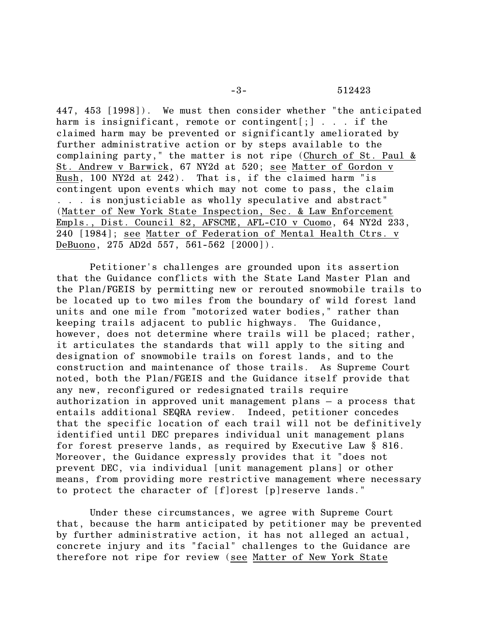## -3- 512423

447, 453 [1998]). We must then consider whether "the anticipated harm is insignificant, remote or contingent[;]...if the claimed harm may be prevented or significantly ameliorated by further administrative action or by steps available to the complaining party," the matter is not ripe (Church of St. Paul & St. Andrew v Barwick, 67 NY2d at 520; see Matter of Gordon v Rush, 100 NY2d at 242). That is, if the claimed harm "is contingent upon events which may not come to pass, the claim . . . is nonjusticiable as wholly speculative and abstract" (Matter of New York State Inspection, Sec. & Law Enforcement Empls., Dist. Council 82, AFSCME, AFL-CIO v Cuomo, 64 NY2d 233, 240 [1984]; see Matter of Federation of Mental Health Ctrs. v DeBuono, 275 AD2d 557, 561-562 [2000]).

Petitioner's challenges are grounded upon its assertion that the Guidance conflicts with the State Land Master Plan and the Plan/FGEIS by permitting new or rerouted snowmobile trails to be located up to two miles from the boundary of wild forest land units and one mile from "motorized water bodies," rather than keeping trails adjacent to public highways. The Guidance, however, does not determine where trails will be placed; rather, it articulates the standards that will apply to the siting and designation of snowmobile trails on forest lands, and to the construction and maintenance of those trails. As Supreme Court noted, both the Plan/FGEIS and the Guidance itself provide that any new, reconfigured or redesignated trails require authorization in approved unit management plans – a process that entails additional SEQRA review. Indeed, petitioner concedes that the specific location of each trail will not be definitively identified until DEC prepares individual unit management plans for forest preserve lands, as required by Executive Law § 816. Moreover, the Guidance expressly provides that it "does not prevent DEC, via individual [unit management plans] or other means, from providing more restrictive management where necessary to protect the character of [f]orest [p]reserve lands."

Under these circumstances, we agree with Supreme Court that, because the harm anticipated by petitioner may be prevented by further administrative action, it has not alleged an actual, concrete injury and its "facial" challenges to the Guidance are therefore not ripe for review (see Matter of New York State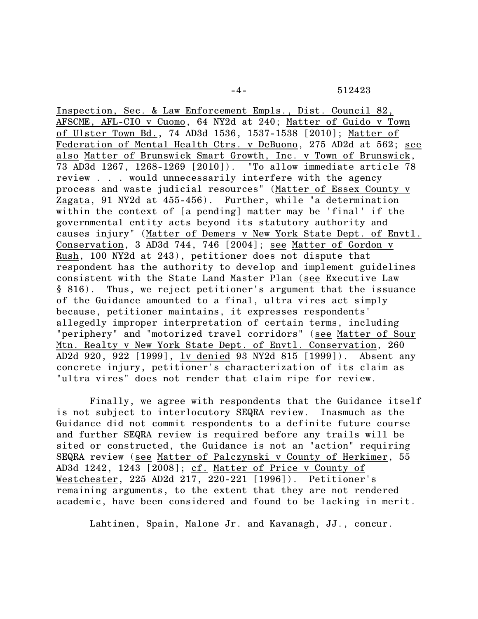-4- 512423

Inspection, Sec. & Law Enforcement Empls., Dist. Council 82, AFSCME, AFL-CIO v Cuomo, 64 NY2d at 240; Matter of Guido v Town of Ulster Town Bd., 74 AD3d 1536, 1537-1538 [2010]; Matter of Federation of Mental Health Ctrs. v DeBuono, 275 AD2d at 562; see also Matter of Brunswick Smart Growth, Inc. v Town of Brunswick, 73 AD3d 1267, 1268-1269 [2010]). "To allow immediate article 78 review . . . would unnecessarily interfere with the agency process and waste judicial resources" (Matter of Essex County v Zagata, 91 NY2d at 455-456). Further, while "a determination within the context of [a pending] matter may be 'final' if the governmental entity acts beyond its statutory authority and causes injury" (Matter of Demers v New York State Dept. of Envtl. Conservation, 3 AD3d 744, 746 [2004]; see Matter of Gordon v Rush, 100 NY2d at 243), petitioner does not dispute that respondent has the authority to develop and implement guidelines consistent with the State Land Master Plan (see Executive Law § 816). Thus, we reject petitioner's argument that the issuance of the Guidance amounted to a final, ultra vires act simply because, petitioner maintains, it expresses respondents' allegedly improper interpretation of certain terms, including "periphery" and "motorized travel corridors" (see Matter of Sour Mtn. Realty v New York State Dept. of Envtl. Conservation, 260 AD2d 920, 922 [1999], lv denied 93 NY2d 815 [1999]). Absent any concrete injury, petitioner's characterization of its claim as "ultra vires" does not render that claim ripe for review.

Finally, we agree with respondents that the Guidance itself is not subject to interlocutory SEQRA review. Inasmuch as the Guidance did not commit respondents to a definite future course and further SEQRA review is required before any trails will be sited or constructed, the Guidance is not an "action" requiring SEQRA review (see Matter of Palczynski v County of Herkimer, 55 AD3d 1242, 1243 [2008]; cf. Matter of Price v County of Westchester, 225 AD2d 217, 220-221 [1996]). Petitioner's remaining arguments, to the extent that they are not rendered academic, have been considered and found to be lacking in merit.

Lahtinen, Spain, Malone Jr. and Kavanagh, JJ., concur.